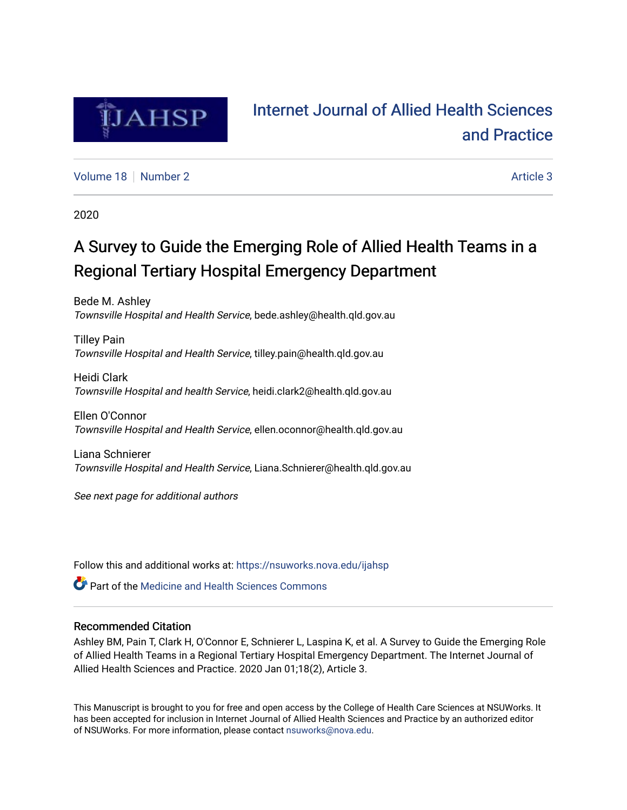

# [Internet Journal of Allied Health Sciences](https://nsuworks.nova.edu/ijahsp)  [and Practice](https://nsuworks.nova.edu/ijahsp)

[Volume 18](https://nsuworks.nova.edu/ijahsp/vol18) [Number 2](https://nsuworks.nova.edu/ijahsp/vol18/iss2) [Article 3](https://nsuworks.nova.edu/ijahsp/vol18/iss2/3) Article 3

2020

# A Survey to Guide the Emerging Role of Allied Health Teams in a Regional Tertiary Hospital Emergency Department

Bede M. Ashley Townsville Hospital and Health Service, bede.ashley@health.qld.gov.au

Tilley Pain Townsville Hospital and Health Service, tilley.pain@health.qld.gov.au

Heidi Clark Townsville Hospital and health Service, heidi.clark2@health.qld.gov.au

Ellen O'Connor Townsville Hospital and Health Service, ellen.oconnor@health.qld.gov.au

Liana Schnierer Townsville Hospital and Health Service, Liana.Schnierer@health.qld.gov.au

See next page for additional authors

Follow this and additional works at: [https://nsuworks.nova.edu/ijahsp](https://nsuworks.nova.edu/ijahsp?utm_source=nsuworks.nova.edu%2Fijahsp%2Fvol18%2Fiss2%2F3&utm_medium=PDF&utm_campaign=PDFCoverPages) 

**C** Part of the Medicine and Health Sciences Commons

# Recommended Citation

Ashley BM, Pain T, Clark H, O'Connor E, Schnierer L, Laspina K, et al. A Survey to Guide the Emerging Role of Allied Health Teams in a Regional Tertiary Hospital Emergency Department. The Internet Journal of Allied Health Sciences and Practice. 2020 Jan 01;18(2), Article 3.

This Manuscript is brought to you for free and open access by the College of Health Care Sciences at NSUWorks. It has been accepted for inclusion in Internet Journal of Allied Health Sciences and Practice by an authorized editor of NSUWorks. For more information, please contact [nsuworks@nova.edu.](mailto:nsuworks@nova.edu)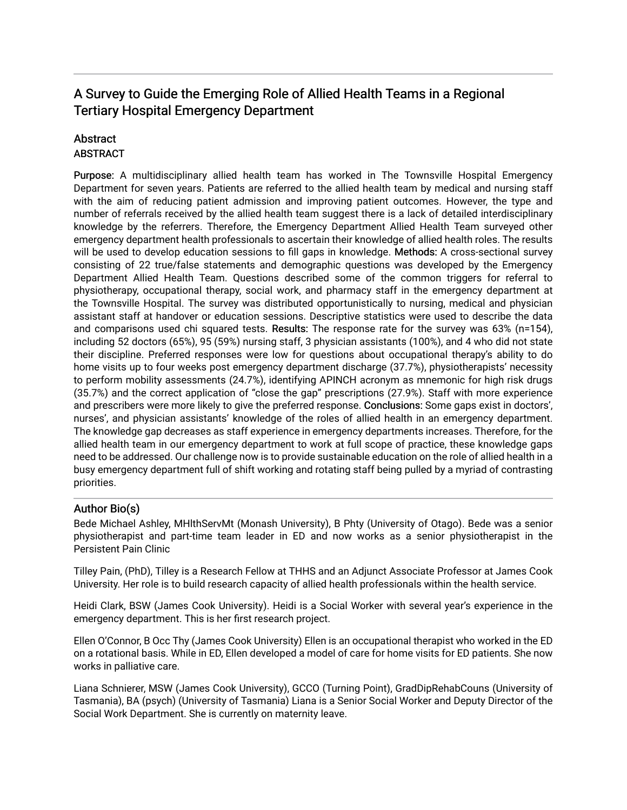# A Survey to Guide the Emerging Role of Allied Health Teams in a Regional Tertiary Hospital Emergency Department

# Abstract

**ABSTRACT** 

Purpose: A multidisciplinary allied health team has worked in The Townsville Hospital Emergency Department for seven years. Patients are referred to the allied health team by medical and nursing staff with the aim of reducing patient admission and improving patient outcomes. However, the type and number of referrals received by the allied health team suggest there is a lack of detailed interdisciplinary knowledge by the referrers. Therefore, the Emergency Department Allied Health Team surveyed other emergency department health professionals to ascertain their knowledge of allied health roles. The results will be used to develop education sessions to fill gaps in knowledge. Methods: A cross-sectional survey consisting of 22 true/false statements and demographic questions was developed by the Emergency Department Allied Health Team. Questions described some of the common triggers for referral to physiotherapy, occupational therapy, social work, and pharmacy staff in the emergency department at the Townsville Hospital. The survey was distributed opportunistically to nursing, medical and physician assistant staff at handover or education sessions. Descriptive statistics were used to describe the data and comparisons used chi squared tests. Results: The response rate for the survey was 63% (n=154), including 52 doctors (65%), 95 (59%) nursing staff, 3 physician assistants (100%), and 4 who did not state their discipline. Preferred responses were low for questions about occupational therapy's ability to do home visits up to four weeks post emergency department discharge (37.7%), physiotherapists' necessity to perform mobility assessments (24.7%), identifying APINCH acronym as mnemonic for high risk drugs (35.7%) and the correct application of "close the gap" prescriptions (27.9%). Staff with more experience and prescribers were more likely to give the preferred response. Conclusions: Some gaps exist in doctors', nurses', and physician assistants' knowledge of the roles of allied health in an emergency department. The knowledge gap decreases as staff experience in emergency departments increases. Therefore, for the allied health team in our emergency department to work at full scope of practice, these knowledge gaps need to be addressed. Our challenge now is to provide sustainable education on the role of allied health in a busy emergency department full of shift working and rotating staff being pulled by a myriad of contrasting priorities.

# Author Bio(s)

Bede Michael Ashley, MHlthServMt (Monash University), B Phty (University of Otago). Bede was a senior physiotherapist and part-time team leader in ED and now works as a senior physiotherapist in the Persistent Pain Clinic

Tilley Pain, (PhD), Tilley is a Research Fellow at THHS and an Adjunct Associate Professor at James Cook University. Her role is to build research capacity of allied health professionals within the health service.

Heidi Clark, BSW (James Cook University). Heidi is a Social Worker with several year's experience in the emergency department. This is her first research project.

Ellen O'Connor, B Occ Thy (James Cook University) Ellen is an occupational therapist who worked in the ED on a rotational basis. While in ED, Ellen developed a model of care for home visits for ED patients. She now works in palliative care.

Liana Schnierer, MSW (James Cook University), GCCO (Turning Point), GradDipRehabCouns (University of Tasmania), BA (psych) (University of Tasmania) Liana is a Senior Social Worker and Deputy Director of the Social Work Department. She is currently on maternity leave.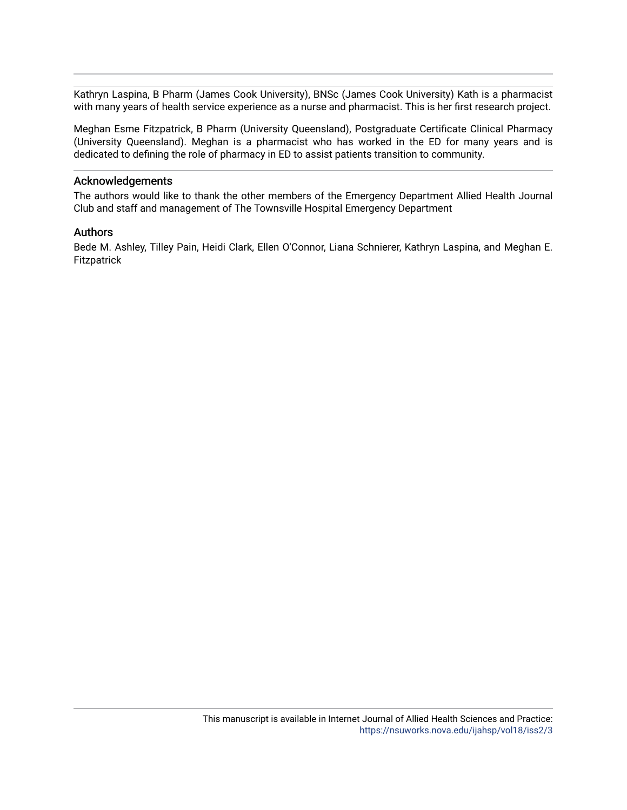Kathryn Laspina, B Pharm (James Cook University), BNSc (James Cook University) Kath is a pharmacist with many years of health service experience as a nurse and pharmacist. This is her first research project.

Meghan Esme Fitzpatrick, B Pharm (University Queensland), Postgraduate Certificate Clinical Pharmacy (University Queensland). Meghan is a pharmacist who has worked in the ED for many years and is dedicated to defining the role of pharmacy in ED to assist patients transition to community.

## Acknowledgements

The authors would like to thank the other members of the Emergency Department Allied Health Journal Club and staff and management of The Townsville Hospital Emergency Department

# Authors

Bede M. Ashley, Tilley Pain, Heidi Clark, Ellen O'Connor, Liana Schnierer, Kathryn Laspina, and Meghan E. Fitzpatrick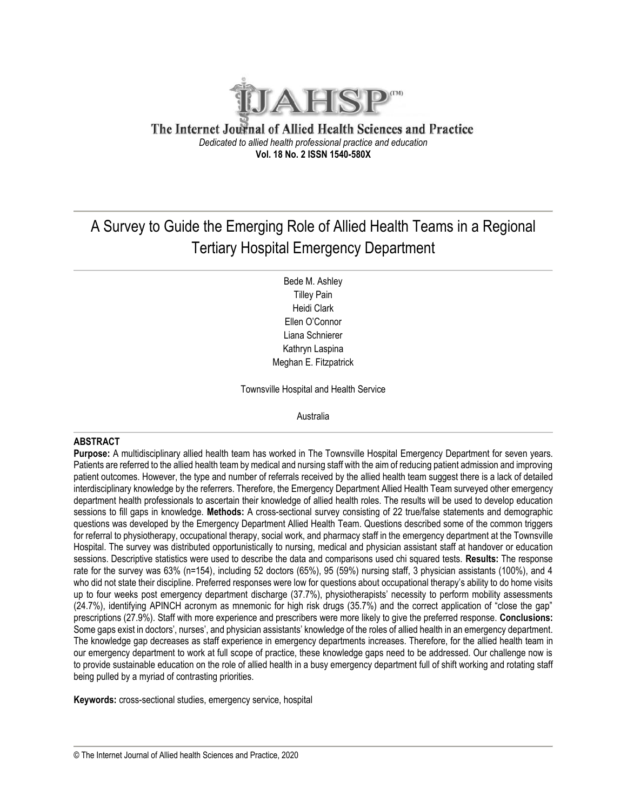

The Internet Journal of Allied Health Sciences and Practice *Dedicated to allied health professional practice and education* **Vol. 18 No. 2 ISSN 1540-580X**

# A Survey to Guide the Emerging Role of Allied Health Teams in a Regional Tertiary Hospital Emergency Department

Bede M. Ashley Tilley Pain Heidi Clark Ellen O'Connor Liana Schnierer Kathryn Laspina Meghan E. Fitzpatrick

Townsville Hospital and Health Service

Australia

# **ABSTRACT**

**Purpose:** A multidisciplinary allied health team has worked in The Townsville Hospital Emergency Department for seven years. Patients are referred to the allied health team by medical and nursing staff with the aim of reducing patient admission and improving patient outcomes. However, the type and number of referrals received by the allied health team suggest there is a lack of detailed interdisciplinary knowledge by the referrers. Therefore, the Emergency Department Allied Health Team surveyed other emergency department health professionals to ascertain their knowledge of allied health roles. The results will be used to develop education sessions to fill gaps in knowledge. **Methods:** A cross-sectional survey consisting of 22 true/false statements and demographic questions was developed by the Emergency Department Allied Health Team. Questions described some of the common triggers for referral to physiotherapy, occupational therapy, social work, and pharmacy staff in the emergency department at the Townsville Hospital. The survey was distributed opportunistically to nursing, medical and physician assistant staff at handover or education sessions. Descriptive statistics were used to describe the data and comparisons used chi squared tests. **Results:** The response rate for the survey was 63% (n=154), including 52 doctors (65%), 95 (59%) nursing staff, 3 physician assistants (100%), and 4 who did not state their discipline. Preferred responses were low for questions about occupational therapy's ability to do home visits up to four weeks post emergency department discharge (37.7%), physiotherapists' necessity to perform mobility assessments (24.7%), identifying APINCH acronym as mnemonic for high risk drugs (35.7%) and the correct application of "close the gap" prescriptions (27.9%). Staff with more experience and prescribers were more likely to give the preferred response. **Conclusions:** Some gaps exist in doctors', nurses', and physician assistants' knowledge of the roles of allied health in an emergency department. The knowledge gap decreases as staff experience in emergency departments increases. Therefore, for the allied health team in our emergency department to work at full scope of practice, these knowledge gaps need to be addressed. Our challenge now is to provide sustainable education on the role of allied health in a busy emergency department full of shift working and rotating staff being pulled by a myriad of contrasting priorities.

**Keywords:** cross-sectional studies, emergency service, hospital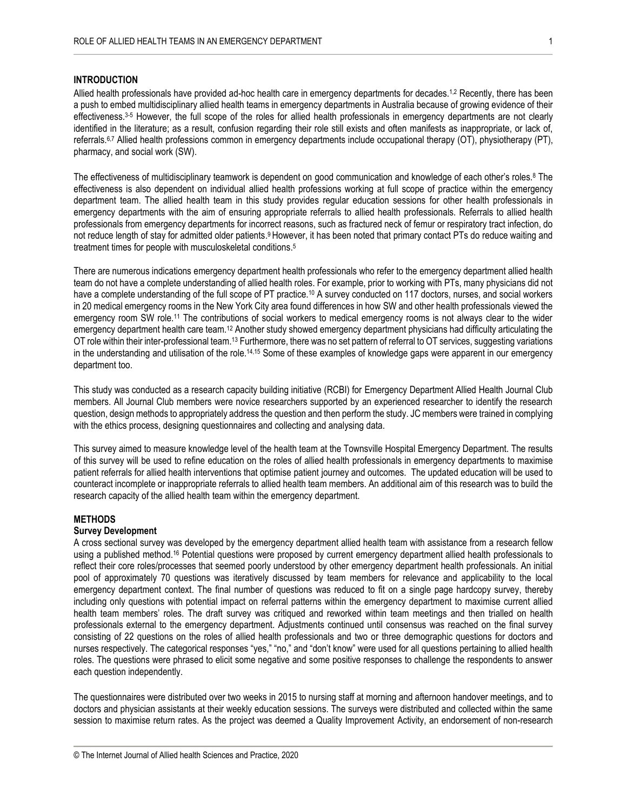#### **INTRODUCTION**

Allied health professionals have provided ad-hoc health care in emergency departments for decades.<sup>1,2</sup> Recently, there has been a push to embed multidisciplinary allied health teams in emergency departments in Australia because of growing evidence of their effectiveness. 3-5 However, the full scope of the roles for allied health professionals in emergency departments are not clearly identified in the literature; as a result, confusion regarding their role still exists and often manifests as inappropriate, or lack of, referrals. 6,7 Allied health professions common in emergency departments include occupational therapy (OT), physiotherapy (PT), pharmacy, and social work (SW).

The effectiveness of multidisciplinary teamwork is dependent on good communication and knowledge of each other's roles.<sup>8</sup> The effectiveness is also dependent on individual allied health professions working at full scope of practice within the emergency department team. The allied health team in this study provides regular education sessions for other health professionals in emergency departments with the aim of ensuring appropriate referrals to allied health professionals. Referrals to allied health professionals from emergency departments for incorrect reasons, such as fractured neck of femur or respiratory tract infection, do not reduce length of stay for admitted older patients.<sup>9</sup> However, it has been noted that primary contact PTs do reduce waiting and treatment times for people with musculoskeletal conditions. 5

There are numerous indications emergency department health professionals who refer to the emergency department allied health team do not have a complete understanding of allied health roles. For example, prior to working with PTs, many physicians did not have a complete understanding of the full scope of PT practice.<sup>10</sup> A survey conducted on 117 doctors, nurses, and social workers in 20 medical emergency rooms in the New York City area found differences in how SW and other health professionals viewed the emergency room SW role.<sup>11</sup> The contributions of social workers to medical emergency rooms is not always clear to the wider emergency department health care team.<sup>12</sup> Another study showed emergency department physicians had difficulty articulating the OT role within their inter-professional team.<sup>13</sup> Furthermore, there was no set pattern of referral to OT services, suggesting variations in the understanding and utilisation of the role.<sup>14,15</sup> Some of these examples of knowledge gaps were apparent in our emergency department too.

This study was conducted as a research capacity building initiative (RCBI) for Emergency Department Allied Health Journal Club members. All Journal Club members were novice researchers supported by an experienced researcher to identify the research question, design methods to appropriately address the question and then perform the study. JC members were trained in complying with the ethics process, designing questionnaires and collecting and analysing data.

This survey aimed to measure knowledge level of the health team at the Townsville Hospital Emergency Department. The results of this survey will be used to refine education on the roles of allied health professionals in emergency departments to maximise patient referrals for allied health interventions that optimise patient journey and outcomes. The updated education will be used to counteract incomplete or inappropriate referrals to allied health team members. An additional aim of this research was to build the research capacity of the allied health team within the emergency department.

## **METHODS**

#### **Survey Development**

A cross sectional survey was developed by the emergency department allied health team with assistance from a research fellow using a published method. <sup>16</sup> Potential questions were proposed by current emergency department allied health professionals to reflect their core roles/processes that seemed poorly understood by other emergency department health professionals. An initial pool of approximately 70 questions was iteratively discussed by team members for relevance and applicability to the local emergency department context. The final number of questions was reduced to fit on a single page hardcopy survey, thereby including only questions with potential impact on referral patterns within the emergency department to maximise current allied health team members' roles. The draft survey was critiqued and reworked within team meetings and then trialled on health professionals external to the emergency department. Adjustments continued until consensus was reached on the final survey consisting of 22 questions on the roles of allied health professionals and two or three demographic questions for doctors and nurses respectively. The categorical responses "yes," "no," and "don't know" were used for all questions pertaining to allied health roles. The questions were phrased to elicit some negative and some positive responses to challenge the respondents to answer each question independently.

The questionnaires were distributed over two weeks in 2015 to nursing staff at morning and afternoon handover meetings, and to doctors and physician assistants at their weekly education sessions. The surveys were distributed and collected within the same session to maximise return rates. As the project was deemed a Quality Improvement Activity, an endorsement of non-research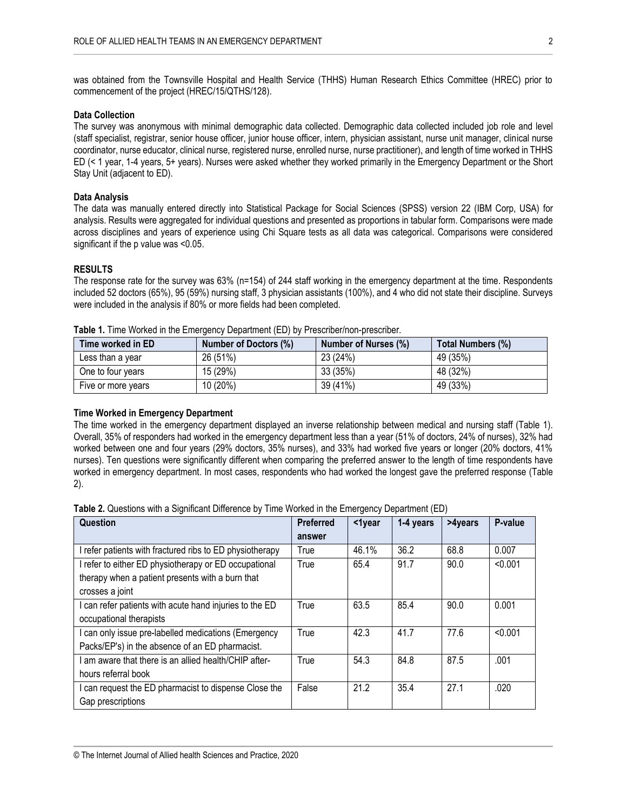was obtained from the Townsville Hospital and Health Service (THHS) Human Research Ethics Committee (HREC) prior to commencement of the project (HREC/15/QTHS/128).

#### **Data Collection**

The survey was anonymous with minimal demographic data collected. Demographic data collected included job role and level (staff specialist, registrar, senior house officer, junior house officer, intern, physician assistant, nurse unit manager, clinical nurse coordinator, nurse educator, clinical nurse, registered nurse, enrolled nurse, nurse practitioner), and length of time worked in THHS ED (< 1 year, 1-4 years, 5+ years). Nurses were asked whether they worked primarily in the Emergency Department or the Short Stay Unit (adjacent to ED).

#### **Data Analysis**

The data was manually entered directly into Statistical Package for Social Sciences (SPSS) version 22 (IBM Corp, USA) for analysis. Results were aggregated for individual questions and presented as proportions in tabular form. Comparisons were made across disciplines and years of experience using Chi Square tests as all data was categorical. Comparisons were considered significant if the p value was <0.05.

## **RESULTS**

The response rate for the survey was 63% (n=154) of 244 staff working in the emergency department at the time. Respondents included 52 doctors (65%), 95 (59%) nursing staff, 3 physician assistants (100%), and 4 who did not state their discipline. Surveys were included in the analysis if 80% or more fields had been completed.

| Time worked in ED  | Number of Doctors (%) | Number of Nurses (%) | Total Numbers (%) |
|--------------------|-----------------------|----------------------|-------------------|
| Less than a year   | 26 (51%)              | 23 (24%)             | 49 (35%)          |
| One to four years  | 15 (29%)              | 33 (35%)             | 48 (32%)          |
| Five or more years | 10 (20%)              | 39 (41%)             | 49 (33%)          |

**Table 1.** Time Worked in the Emergency Department (ED) by Prescriber/non-prescriber.

#### **Time Worked in Emergency Department**

The time worked in the emergency department displayed an inverse relationship between medical and nursing staff (Table 1). Overall, 35% of responders had worked in the emergency department less than a year (51% of doctors, 24% of nurses), 32% had worked between one and four years (29% doctors, 35% nurses), and 33% had worked five years or longer (20% doctors, 41% nurses). Ten questions were significantly different when comparing the preferred answer to the length of time respondents have worked in emergency department. In most cases, respondents who had worked the longest gave the preferred response (Table 2).

| <b>Question</b>                                          | <b>Preferred</b> | $1year$ | 1-4 years | >4years | P-value |
|----------------------------------------------------------|------------------|---------|-----------|---------|---------|
|                                                          | answer           |         |           |         |         |
| I refer patients with fractured ribs to ED physiotherapy | True             | 46.1%   | 36.2      | 68.8    | 0.007   |
| I refer to either ED physiotherapy or ED occupational    | True             | 65.4    | 91.7      | 90.0    | < 0.001 |
| therapy when a patient presents with a burn that         |                  |         |           |         |         |
| crosses a joint                                          |                  |         |           |         |         |
| I can refer patients with acute hand injuries to the ED  | True             | 63.5    | 85.4      | 90.0    | 0.001   |
| occupational therapists                                  |                  |         |           |         |         |
| I can only issue pre-labelled medications (Emergency     | True             | 42.3    | 41.7      | 77.6    | < 0.001 |
| Packs/EP's) in the absence of an ED pharmacist.          |                  |         |           |         |         |
| am aware that there is an allied health/CHIP after-      | True             | 54.3    | 84.8      | 87.5    | .001    |
| hours referral book                                      |                  |         |           |         |         |
| I can request the ED pharmacist to dispense Close the    | False            | 21.2    | 35.4      | 27.1    | .020    |
| Gap prescriptions                                        |                  |         |           |         |         |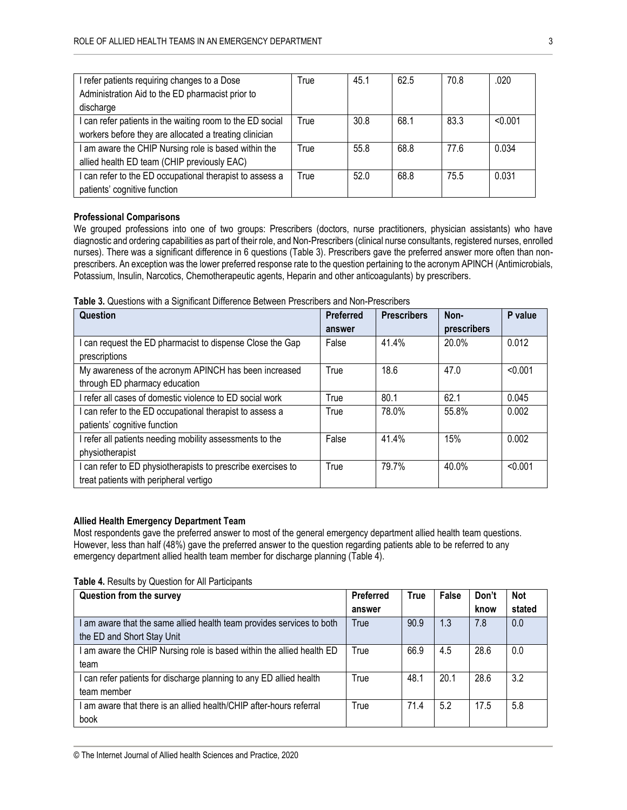| I refer patients requiring changes to a Dose              | True | 45.1 | 62.5 | 70.8 | .020    |
|-----------------------------------------------------------|------|------|------|------|---------|
| Administration Aid to the ED pharmacist prior to          |      |      |      |      |         |
| discharge                                                 |      |      |      |      |         |
| I can refer patients in the waiting room to the ED social | True | 30.8 | 68.1 | 83.3 | < 0.001 |
| workers before they are allocated a treating clinician    |      |      |      |      |         |
| I am aware the CHIP Nursing role is based within the      | True | 55.8 | 68.8 | 77.6 | 0.034   |
| allied health ED team (CHIP previously EAC)               |      |      |      |      |         |
| I can refer to the ED occupational therapist to assess a  | True | 52.0 | 68.8 | 75.5 | 0.031   |
| patients' cognitive function                              |      |      |      |      |         |

### **Professional Comparisons**

We grouped professions into one of two groups: Prescribers (doctors, nurse practitioners, physician assistants) who have diagnostic and ordering capabilities as part of their role, and Non-Prescribers (clinical nurse consultants, registered nurses, enrolled nurses). There was a significant difference in 6 questions (Table 3). Prescribers gave the preferred answer more often than nonprescribers. An exception was the lower preferred response rate to the question pertaining to the acronym APINCH (Antimicrobials, Potassium, Insulin, Narcotics, Chemotherapeutic agents, Heparin and other anticoagulants) by prescribers.

**Table 3.** Questions with a Significant Difference Between Prescribers and Non-Prescribers

| Question                                                   | <b>Preferred</b> | <b>Prescribers</b> | Non-        | P value |
|------------------------------------------------------------|------------------|--------------------|-------------|---------|
|                                                            | answer           |                    | prescribers |         |
| can request the ED pharmacist to dispense Close the Gap    | False            | 41.4%              | 20.0%       | 0.012   |
| prescriptions                                              |                  |                    |             |         |
| My awareness of the acronym APINCH has been increased      | True             | 18.6               | 47.0        | < 0.001 |
| through ED pharmacy education                              |                  |                    |             |         |
| refer all cases of domestic violence to ED social work     | True             | 80.1               | 62.1        | 0.045   |
| can refer to the ED occupational therapist to assess a     | True             | 78.0%              | 55.8%       | 0.002   |
| patients' cognitive function                               |                  |                    |             |         |
| refer all patients needing mobility assessments to the     | False            | 41.4%              | 15%         | 0.002   |
| physiotherapist                                            |                  |                    |             |         |
| can refer to ED physiotherapists to prescribe exercises to | True             | 79.7%              | $40.0\%$    | < 0.001 |
| treat patients with peripheral vertigo                     |                  |                    |             |         |

## **Allied Health Emergency Department Team**

Most respondents gave the preferred answer to most of the general emergency department allied health team questions. However, less than half (48%) gave the preferred answer to the question regarding patients able to be referred to any emergency department allied health team member for discharge planning (Table 4).

**Table 4.** Results by Question for All Participants

| Question from the survey                                              | Preferred | <b>True</b> | False | Don't | <b>Not</b> |
|-----------------------------------------------------------------------|-----------|-------------|-------|-------|------------|
|                                                                       | answer    |             |       | know  | stated     |
| am aware that the same allied health team provides services to both   | True      | 90.9        | 1.3   | 7.8   | 0.0        |
| the ED and Short Stay Unit                                            |           |             |       |       |            |
| I am aware the CHIP Nursing role is based within the allied health ED | True      | 66.9        | 4.5   | 28.6  | 0.0        |
| team                                                                  |           |             |       |       |            |
| can refer patients for discharge planning to any ED allied health     | True      | 48.1        | 20.1  | 28.6  | 3.2        |
| team member                                                           |           |             |       |       |            |
| am aware that there is an allied health/CHIP after-hours referral     | True      | 71.4        | 5.2   | 17.5  | 5.8        |
| book                                                                  |           |             |       |       |            |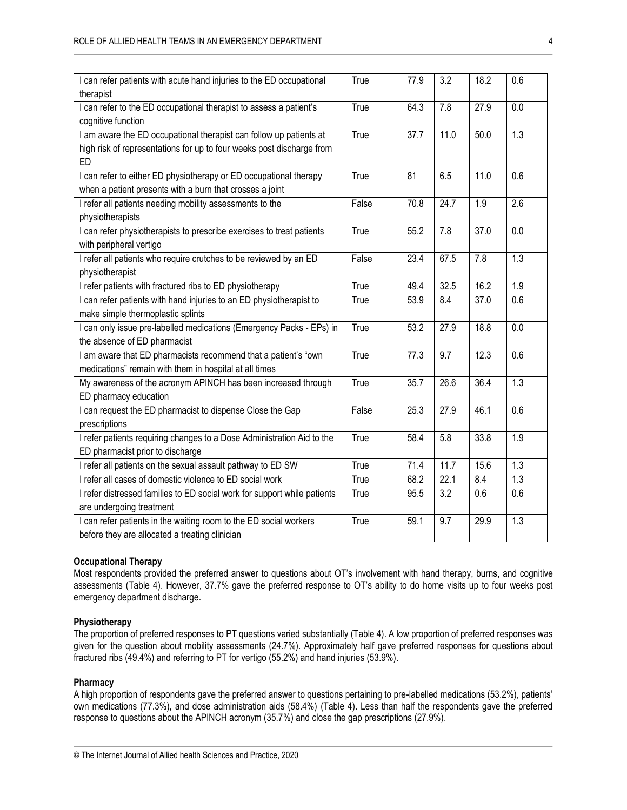| I can refer patients with acute hand injuries to the ED occupational     | True  | 77.9 | $\overline{3.2}$ | 18.2              | 0.6              |
|--------------------------------------------------------------------------|-------|------|------------------|-------------------|------------------|
| therapist                                                                |       |      |                  |                   |                  |
| I can refer to the ED occupational therapist to assess a patient's       | True  | 64.3 | 7.8              | 27.9              | $\overline{0.0}$ |
| cognitive function                                                       |       |      |                  |                   |                  |
| I am aware the ED occupational therapist can follow up patients at       | True  | 37.7 | 11.0             | 50.0              | 1.3              |
| high risk of representations for up to four weeks post discharge from    |       |      |                  |                   |                  |
| ED                                                                       |       |      |                  |                   |                  |
| I can refer to either ED physiotherapy or ED occupational therapy        | True  | 81   | 6.5              | 11.0              | 0.6              |
| when a patient presents with a burn that crosses a joint                 |       |      |                  |                   |                  |
| I refer all patients needing mobility assessments to the                 | False | 70.8 | 24.7             | 1.9               | $\overline{2.6}$ |
| physiotherapists                                                         |       |      |                  |                   |                  |
| I can refer physiotherapists to prescribe exercises to treat patients    | True  | 55.2 | 7.8              | $\overline{37.0}$ | 0.0              |
| with peripheral vertigo                                                  |       |      |                  |                   |                  |
| I refer all patients who require crutches to be reviewed by an ED        | False | 23.4 | 67.5             | 7.8               | 1.3              |
| physiotherapist                                                          |       |      |                  |                   |                  |
| I refer patients with fractured ribs to ED physiotherapy                 | True  | 49.4 | 32.5             | 16.2              | 1.9              |
| I can refer patients with hand injuries to an ED physiotherapist to      | True  | 53.9 | 8.4              | $\overline{37.0}$ | 0.6              |
| make simple thermoplastic splints                                        |       |      |                  |                   |                  |
| I can only issue pre-labelled medications (Emergency Packs - EPs) in     | True  | 53.2 | 27.9             | 18.8              | 0.0              |
| the absence of ED pharmacist                                             |       |      |                  |                   |                  |
| I am aware that ED pharmacists recommend that a patient's "own           | True  | 77.3 | 9.7              | 12.3              | 0.6              |
| medications" remain with them in hospital at all times                   |       |      |                  |                   |                  |
| My awareness of the acronym APINCH has been increased through            | True  | 35.7 | 26.6             | 36.4              | 1.3              |
| ED pharmacy education                                                    |       |      |                  |                   |                  |
| I can request the ED pharmacist to dispense Close the Gap                | False | 25.3 | 27.9             | 46.1              | 0.6              |
| prescriptions                                                            |       |      |                  |                   |                  |
| I refer patients requiring changes to a Dose Administration Aid to the   | True  | 58.4 | 5.8              | 33.8              | 1.9              |
| ED pharmacist prior to discharge                                         |       |      |                  |                   |                  |
| I refer all patients on the sexual assault pathway to ED SW              | True  | 71.4 | 11.7             | 15.6              | 1.3              |
| I refer all cases of domestic violence to ED social work                 | True  | 68.2 | 22.1             | 8.4               | 1.3              |
| I refer distressed families to ED social work for support while patients | True  | 95.5 | 3.2              | 0.6               | 0.6              |
| are undergoing treatment                                                 |       |      |                  |                   |                  |
| I can refer patients in the waiting room to the ED social workers        | True  | 59.1 | 9.7              | 29.9              | 1.3              |
| before they are allocated a treating clinician                           |       |      |                  |                   |                  |

#### **Occupational Therapy**

Most respondents provided the preferred answer to questions about OT's involvement with hand therapy, burns, and cognitive assessments (Table 4). However, 37.7% gave the preferred response to OT's ability to do home visits up to four weeks post emergency department discharge.

#### **Physiotherapy**

The proportion of preferred responses to PT questions varied substantially (Table 4). A low proportion of preferred responses was given for the question about mobility assessments (24.7%). Approximately half gave preferred responses for questions about fractured ribs (49.4%) and referring to PT for vertigo (55.2%) and hand injuries (53.9%).

#### **Pharmacy**

A high proportion of respondents gave the preferred answer to questions pertaining to pre-labelled medications (53.2%), patients' own medications (77.3%), and dose administration aids (58.4%) (Table 4). Less than half the respondents gave the preferred response to questions about the APINCH acronym (35.7%) and close the gap prescriptions (27.9%).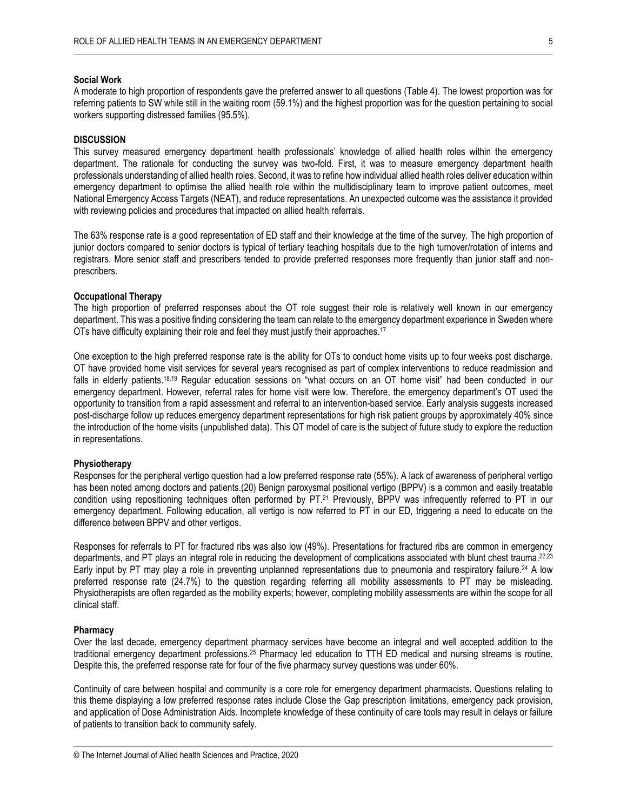## **Social Work**

A moderate to high proportion of respondents gave the preferred answer to all questions (Table 4). The lowest proportion was for referring patients to SW while still in the waiting room (59.1%) and the highest proportion was for the question pertaining to social workers supporting distressed families (95.5%).

### **DISCUSSION**

This survey measured emergency department health professionals' knowledge of allied health roles within the emergency department. The rationale for conducting the survey was two-fold. First, it was to measure emergency department health professionals understanding of allied health roles. Second, it was to refine how individual allied health roles deliver education within emergency department to optimise the allied health role within the multidisciplinary team to improve patient outcomes, meet National Emergency Access Targets (NEAT), and reduce representations. An unexpected outcome was the assistance it provided with reviewing policies and procedures that impacted on allied health referrals.

The 63% response rate is a good representation of ED staff and their knowledge at the time of the survey. The high proportion of junior doctors compared to senior doctors is typical of tertiary teaching hospitals due to the high turnover/rotation of interns and registrars. More senior staff and prescribers tended to provide preferred responses more frequently than junior staff and nonprescribers.

#### **Occupational Therapy**

The high proportion of preferred responses about the OT role suggest their role is relatively well known in our emergency department. This was a positive finding considering the team can relate to the emergency department experience in Sweden where OTs have difficulty explaining their role and feel they must justify their approaches.<sup>17</sup>

One exception to the high preferred response rate is the ability for OTs to conduct home visits up to four weeks post discharge. OT have provided home visit services for several years recognised as part of complex interventions to reduce readmission and falls in elderly patients.<sup>18,19</sup> Regular education sessions on "what occurs on an OT home visit" had been conducted in our emergency department. However, referral rates for home visit were low. Therefore, the emergency department's OT used the opportunity to transition from a rapid assessment and referral to an intervention-based service. Early analysis suggests increased post-discharge follow up reduces emergency department representations for high risk patient groups by approximately 40% since the introduction of the home visits (unpublished data). This OT model of care is the subject of future study to explore the reduction in representations.

#### **Physiotherapy**

Responses for the peripheral vertigo question had a low preferred response rate (55%). A lack of awareness of peripheral vertigo has been noted among doctors and patients.(20) Benign paroxysmal positional vertigo (BPPV) is a common and easily treatable condition using repositioning techniques often performed by PT. <sup>21</sup> Previously, BPPV was infrequently referred to PT in our emergency department. Following education, all vertigo is now referred to PT in our ED, triggering a need to educate on the difference between BPPV and other vertigos.

Responses for referrals to PT for fractured ribs was also low (49%). Presentations for fractured ribs are common in emergency departments, and PT plays an integral role in reducing the development of complications associated with blunt chest trauma.<sup>22,23</sup> Early input by PT may play a role in preventing unplanned representations due to pneumonia and respiratory failure.<sup>24</sup> A low preferred response rate (24.7%) to the question regarding referring all mobility assessments to PT may be misleading. Physiotherapists are often regarded as the mobility experts; however, completing mobility assessments are within the scope for all clinical staff.

#### **Pharmacy**

Over the last decade, emergency department pharmacy services have become an integral and well accepted addition to the traditional emergency department professions.<sup>25</sup> Pharmacy led education to TTH ED medical and nursing streams is routine. Despite this, the preferred response rate for four of the five pharmacy survey questions was under 60%.

Continuity of care between hospital and community is a core role for emergency department pharmacists. Questions relating to this theme displaying a low preferred response rates include Close the Gap prescription limitations, emergency pack provision, and application of Dose Administration Aids. Incomplete knowledge of these continuity of care tools may result in delays or failure of patients to transition back to community safely.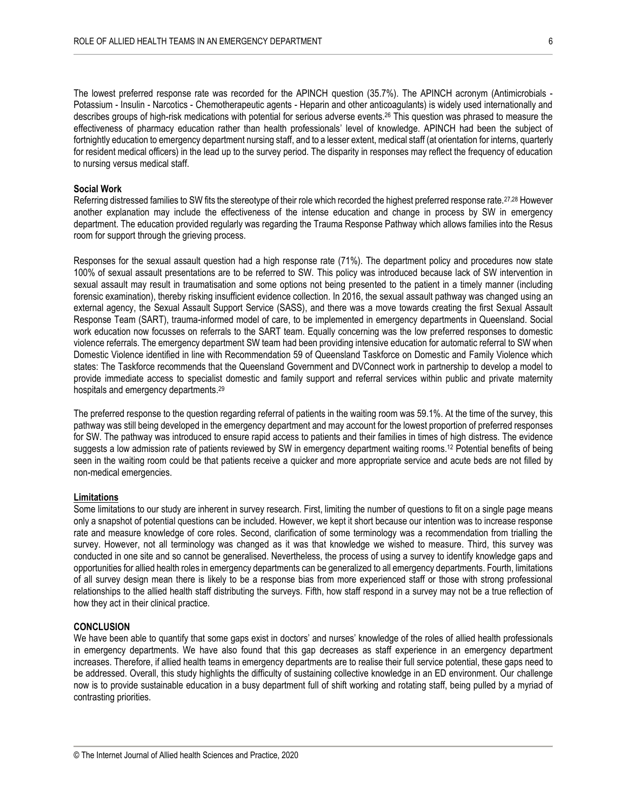The lowest preferred response rate was recorded for the APINCH question (35.7%). The APINCH acronym (Antimicrobials - Potassium - Insulin - Narcotics - Chemotherapeutic agents - Heparin and other anticoagulants) is widely used internationally and describes groups of high-risk medications with potential for serious adverse events.<sup>26</sup> This question was phrased to measure the effectiveness of pharmacy education rather than health professionals' level of knowledge. APINCH had been the subject of fortnightly education to emergency department nursing staff, and to a lesser extent, medical staff (at orientation for interns, quarterly for resident medical officers) in the lead up to the survey period. The disparity in responses may reflect the frequency of education to nursing versus medical staff.

#### **Social Work**

Referring distressed families to SW fits the stereotype of their role which recorded the highest preferred response rate.<sup>27,28</sup> However another explanation may include the effectiveness of the intense education and change in process by SW in emergency department. The education provided regularly was regarding the Trauma Response Pathway which allows families into the Resus room for support through the grieving process.

Responses for the sexual assault question had a high response rate (71%). The department policy and procedures now state 100% of sexual assault presentations are to be referred to SW. This policy was introduced because lack of SW intervention in sexual assault may result in traumatisation and some options not being presented to the patient in a timely manner (including forensic examination), thereby risking insufficient evidence collection. In 2016, the sexual assault pathway was changed using an external agency, the Sexual Assault Support Service (SASS), and there was a move towards creating the first Sexual Assault Response Team (SART), trauma-informed model of care, to be implemented in emergency departments in Queensland. Social work education now focusses on referrals to the SART team. Equally concerning was the low preferred responses to domestic violence referrals. The emergency department SW team had been providing intensive education for automatic referral to SW when Domestic Violence identified in line with Recommendation 59 of Queensland Taskforce on Domestic and Family Violence which states: The Taskforce recommends that the Queensland Government and DVConnect work in partnership to develop a model to provide immediate access to specialist domestic and family support and referral services within public and private maternity hospitals and emergency departments.<sup>29</sup>

The preferred response to the question regarding referral of patients in the waiting room was 59.1%. At the time of the survey, this pathway was still being developed in the emergency department and may account for the lowest proportion of preferred responses for SW. The pathway was introduced to ensure rapid access to patients and their families in times of high distress. The evidence suggests a low admission rate of patients reviewed by SW in emergency department waiting rooms. <sup>12</sup> Potential benefits of being seen in the waiting room could be that patients receive a quicker and more appropriate service and acute beds are not filled by non-medical emergencies.

#### **Limitations**

Some limitations to our study are inherent in survey research. First, limiting the number of questions to fit on a single page means only a snapshot of potential questions can be included. However, we kept it short because our intention was to increase response rate and measure knowledge of core roles. Second, clarification of some terminology was a recommendation from trialling the survey. However, not all terminology was changed as it was that knowledge we wished to measure. Third, this survey was conducted in one site and so cannot be generalised. Nevertheless, the process of using a survey to identify knowledge gaps and opportunities for allied health roles in emergency departments can be generalized to all emergency departments. Fourth, limitations of all survey design mean there is likely to be a response bias from more experienced staff or those with strong professional relationships to the allied health staff distributing the surveys. Fifth, how staff respond in a survey may not be a true reflection of how they act in their clinical practice.

#### **CONCLUSION**

We have been able to quantify that some gaps exist in doctors' and nurses' knowledge of the roles of allied health professionals in emergency departments. We have also found that this gap decreases as staff experience in an emergency department increases. Therefore, if allied health teams in emergency departments are to realise their full service potential, these gaps need to be addressed. Overall, this study highlights the difficulty of sustaining collective knowledge in an ED environment. Our challenge now is to provide sustainable education in a busy department full of shift working and rotating staff, being pulled by a myriad of contrasting priorities.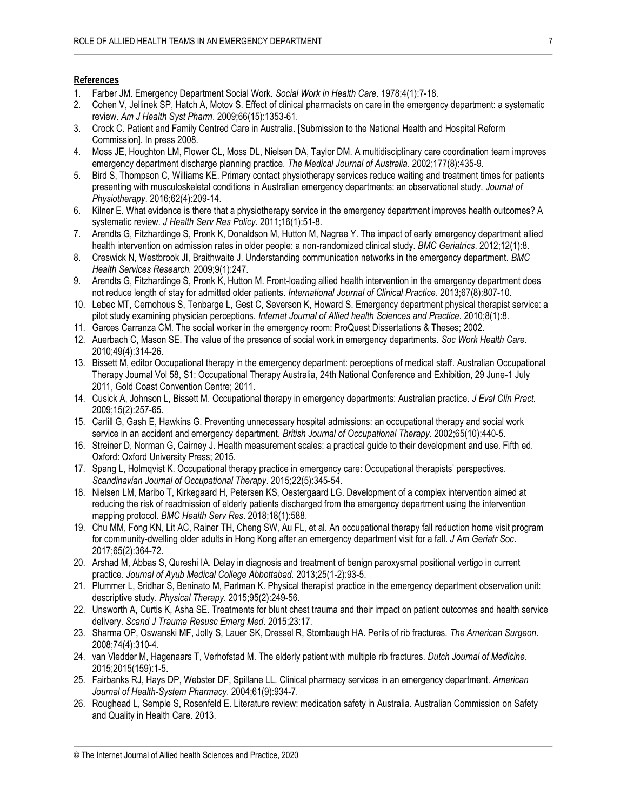#### **References**

- 1. Farber JM. Emergency Department Social Work. *Social Work in Health Care*. 1978;4(1):7-18.
- 2. Cohen V, Jellinek SP, Hatch A, Motov S. Effect of clinical pharmacists on care in the emergency department: a systematic review. *Am J Health Syst Pharm*. 2009;66(15):1353-61.
- 3. Crock C. Patient and Family Centred Care in Australia. [Submission to the National Health and Hospital Reform Commission]. In press 2008.
- 4. Moss JE, Houghton LM, Flower CL, Moss DL, Nielsen DA, Taylor DM. A multidisciplinary care coordination team improves emergency department discharge planning practice. *The Medical Journal of Australia*. 2002;177(8):435-9.
- 5. Bird S, Thompson C, Williams KE. Primary contact physiotherapy services reduce waiting and treatment times for patients presenting with musculoskeletal conditions in Australian emergency departments: an observational study. *Journal of Physiotherapy*. 2016;62(4):209-14.
- 6. Kilner E. What evidence is there that a physiotherapy service in the emergency department improves health outcomes? A systematic review. *J Health Serv Res Policy*. 2011;16(1):51-8.
- 7. Arendts G, Fitzhardinge S, Pronk K, Donaldson M, Hutton M, Nagree Y. The impact of early emergency department allied health intervention on admission rates in older people: a non-randomized clinical study. *BMC Geriatrics*. 2012;12(1):8.
- 8. Creswick N, Westbrook JI, Braithwaite J. Understanding communication networks in the emergency department. *BMC Health Services Research.* 2009;9(1):247.
- 9. Arendts G, Fitzhardinge S, Pronk K, Hutton M. Front-loading allied health intervention in the emergency department does not reduce length of stay for admitted older patients. *International Journal of Clinical Practice*. 2013;67(8):807-10.
- 10. Lebec MT, Cernohous S, Tenbarge L, Gest C, Severson K, Howard S. Emergency department physical therapist service: a pilot study examining physician perceptions. *Internet Journal of Allied health Sciences and Practice*. 2010;8(1):8.
- 11. Garces Carranza CM. The social worker in the emergency room: ProQuest Dissertations & Theses; 2002.
- 12. Auerbach C, Mason SE. The value of the presence of social work in emergency departments. *Soc Work Health Care*. 2010;49(4):314-26.
- 13. Bissett M, editor Occupational therapy in the emergency department: perceptions of medical staff. Australian Occupational Therapy Journal Vol 58, S1: Occupational Therapy Australia, 24th National Conference and Exhibition, 29 June-1 July 2011, Gold Coast Convention Centre; 2011.
- 14. Cusick A, Johnson L, Bissett M. Occupational therapy in emergency departments: Australian practice. *J Eval Clin Pract.* 2009;15(2):257-65.
- 15. Carlill G, Gash E, Hawkins G. Preventing unnecessary hospital admissions: an occupational therapy and social work service in an accident and emergency department. *British Journal of Occupational Therapy*. 2002;65(10):440-5.
- 16. Streiner D, Norman G, Cairney J. Health measurement scales: a practical guide to their development and use. Fifth ed. Oxford: Oxford University Press; 2015.
- 17. Spang L, Holmqvist K. Occupational therapy practice in emergency care: Occupational therapists' perspectives. *Scandinavian Journal of Occupational Therapy*. 2015;22(5):345-54.
- 18. Nielsen LM, Maribo T, Kirkegaard H, Petersen KS, Oestergaard LG. Development of a complex intervention aimed at reducing the risk of readmission of elderly patients discharged from the emergency department using the intervention mapping protocol. *BMC Health Serv Res*. 2018;18(1):588.
- 19. Chu MM, Fong KN, Lit AC, Rainer TH, Cheng SW, Au FL, et al. An occupational therapy fall reduction home visit program for community-dwelling older adults in Hong Kong after an emergency department visit for a fall. *J Am Geriatr Soc*. 2017;65(2):364-72.
- 20. Arshad M, Abbas S, Qureshi IA. Delay in diagnosis and treatment of benign paroxysmal positional vertigo in current practice. *Journal of Ayub Medical College Abbottabad.* 2013;25(1-2):93-5.
- 21. Plummer L, Sridhar S, Beninato M, Parlman K. Physical therapist practice in the emergency department observation unit: descriptive study. *Physical Therapy*. 2015;95(2):249-56.
- 22. Unsworth A, Curtis K, Asha SE. Treatments for blunt chest trauma and their impact on patient outcomes and health service delivery. *Scand J Trauma Resusc Emerg Med*. 2015;23:17.
- 23. Sharma OP, Oswanski MF, Jolly S, Lauer SK, Dressel R, Stombaugh HA. Perils of rib fractures. *The American Surgeon*. 2008;74(4):310-4.
- 24. van Vledder M, Hagenaars T, Verhofstad M. The elderly patient with multiple rib fractures. *Dutch Journal of Medicine*. 2015;2015(159):1-5.
- 25. Fairbanks RJ, Hays DP, Webster DF, Spillane LL. Clinical pharmacy services in an emergency department. *American Journal of Health-System Pharmacy*. 2004;61(9):934-7.
- 26. Roughead L, Semple S, Rosenfeld E. Literature review: medication safety in Australia. Australian Commission on Safety and Quality in Health Care. 2013.